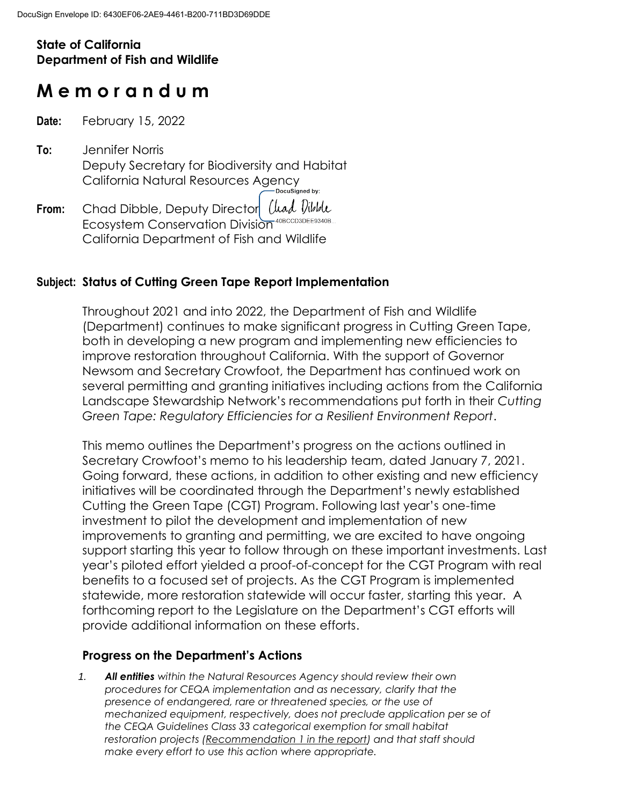# **State of California Department of Fish and Wildlife**

# **M e m o r a n d u m**

**Date:** February 15, 2022

- **To:** Jennifer Norris Deputy Secretary for Biodiversity and Habitat California Natural Resources Agency
- From: Chad Dibble, Deputy Director Uuad Vibble Ecosystem Conservation Division<sup>40BCCD3DEE9340B...</sup> California Department of Fish and Wildlife

#### **Subject: Status of Cutting Green Tape Report Implementation**

Throughout 2021 and into 2022, the Department of Fish and Wildlife (Department) continues to make significant progress in Cutting Green Tape, both in developing a new program and implementing new efficiencies to improve restoration throughout California. With the support of Governor Newsom and Secretary Crowfoot, the Department has continued work on several permitting and granting initiatives including actions from the California Landscape Stewardship Network's recommendations put forth in their *Cutting Green Tape: Regulatory Efficiencies for a Resilient Environment Report*.

This memo outlines the Department's progress on the actions outlined in Secretary Crowfoot's memo to his leadership team, dated January 7, 2021. Going forward, these actions, in addition to other existing and new efficiency initiatives will be coordinated through the Department's newly established Cutting the Green Tape (CGT) Program. Following last year's one-time investment to pilot the development and implementation of new improvements to granting and permitting, we are excited to have ongoing support starting this year to follow through on these important investments. Last year's piloted effort yielded a proof-of-concept for the CGT Program with real benefits to a focused set of projects. As the CGT Program is implemented statewide, more restoration statewide will occur faster, starting this year. A forthcoming report to the Legislature on the Department's CGT efforts will provide additional information on these efforts.

#### **Progress on the Department's Actions**

*1. All entities within the Natural Resources Agency should review their own procedures for CEQA implementation and as necessary, clarify that the presence of endangered, rare or threatened species, or the use of mechanized equipment, respectively, does not preclude application per se of the CEQA Guidelines Class 33 categorical exemption for small habitat restoration projects (Recommendation 1 in the report) and that staff should make every effort to use this action where appropriate.*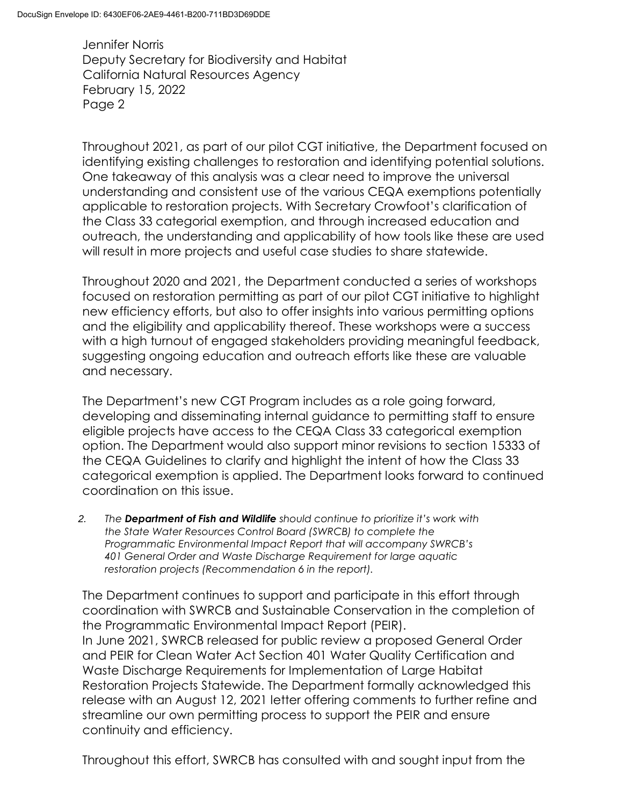Throughout 2021, as part of our pilot CGT initiative, the Department focused on identifying existing challenges to restoration and identifying potential solutions. One takeaway of this analysis was a clear need to improve the universal understanding and consistent use of the various CEQA exemptions potentially applicable to restoration projects. With Secretary Crowfoot's clarification of the Class 33 categorial exemption, and through increased education and outreach, the understanding and applicability of how tools like these are used will result in more projects and useful case studies to share statewide.

Throughout 2020 and 2021, the Department conducted a series of workshops focused on restoration permitting as part of our pilot CGT initiative to highlight new efficiency efforts, but also to offer insights into various permitting options and the eligibility and applicability thereof. These workshops were a success with a high turnout of engaged stakeholders providing meaningful feedback, suggesting ongoing education and outreach efforts like these are valuable and necessary.

The Department's new CGT Program includes as a role going forward, developing and disseminating internal guidance to permitting staff to ensure eligible projects have access to the CEQA Class 33 categorical exemption option. The Department would also support minor revisions to section 15333 of the CEQA Guidelines to clarify and highlight the intent of how the Class 33 categorical exemption is applied. The Department looks forward to continued coordination on this issue.

*2. The Department of Fish and Wildlife should continue to prioritize it's work with the State Water Resources Control Board (SWRCB) to complete the Programmatic Environmental Impact Report that will accompany SWRCB's 401 General Order and Waste Discharge Requirement for large aquatic restoration projects (Recommendation 6 in the report).*

The Department continues to support and participate in this effort through coordination with SWRCB and Sustainable Conservation in the completion of the Programmatic Environmental Impact Report (PEIR). In June 2021, SWRCB released for public review a proposed General Order and PEIR for Clean Water Act Section 401 Water Quality Certification and Waste Discharge Requirements for Implementation of Large Habitat Restoration Projects Statewide. The Department formally acknowledged this release with an August 12, 2021 letter offering comments to further refine and streamline our own permitting process to support the PEIR and ensure continuity and efficiency.

Throughout this effort, SWRCB has consulted with and sought input from the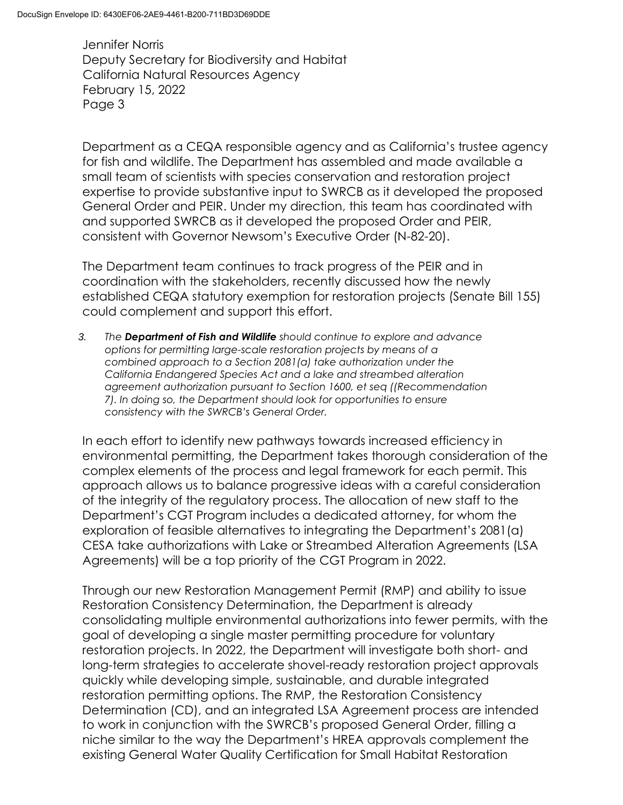Department as a CEQA responsible agency and as California's trustee agency for fish and wildlife. The Department has assembled and made available a small team of scientists with species conservation and restoration project expertise to provide substantive input to SWRCB as it developed the proposed General Order and PEIR. Under my direction, this team has coordinated with and supported SWRCB as it developed the proposed Order and PEIR, consistent with Governor Newsom's Executive Order (N-82-20).

The Department team continues to track progress of the PEIR and in coordination with the stakeholders, recently discussed how the newly established CEQA statutory exemption for restoration projects (Senate Bill 155) could complement and support this effort.

*3. The Department of Fish and Wildlife should continue to explore and advance options for permitting large-scale restoration projects by means of a combined approach to a Section 2081(a) take authorization under the California Endangered Species Act and a lake and streambed alteration agreement authorization pursuant to Section 1600, et seq ((Recommendation 7). In doing so, the Department should look for opportunities to ensure consistency with the SWRCB's General Order.*

In each effort to identify new pathways towards increased efficiency in environmental permitting, the Department takes thorough consideration of the complex elements of the process and legal framework for each permit. This approach allows us to balance progressive ideas with a careful consideration of the integrity of the regulatory process. The allocation of new staff to the Department's CGT Program includes a dedicated attorney, for whom the exploration of feasible alternatives to integrating the Department's 2081(a) CESA take authorizations with Lake or Streambed Alteration Agreements (LSA Agreements) will be a top priority of the CGT Program in 2022.

Through our new Restoration Management Permit (RMP) and ability to issue Restoration Consistency Determination, the Department is already consolidating multiple environmental authorizations into fewer permits, with the goal of developing a single master permitting procedure for voluntary restoration projects. In 2022, the Department will investigate both short- and long-term strategies to accelerate shovel-ready restoration project approvals quickly while developing simple, sustainable, and durable integrated restoration permitting options. The RMP, the Restoration Consistency Determination (CD), and an integrated LSA Agreement process are intended to work in conjunction with the SWRCB's proposed General Order, filling a niche similar to the way the Department's HREA approvals complement the existing General Water Quality Certification for Small Habitat Restoration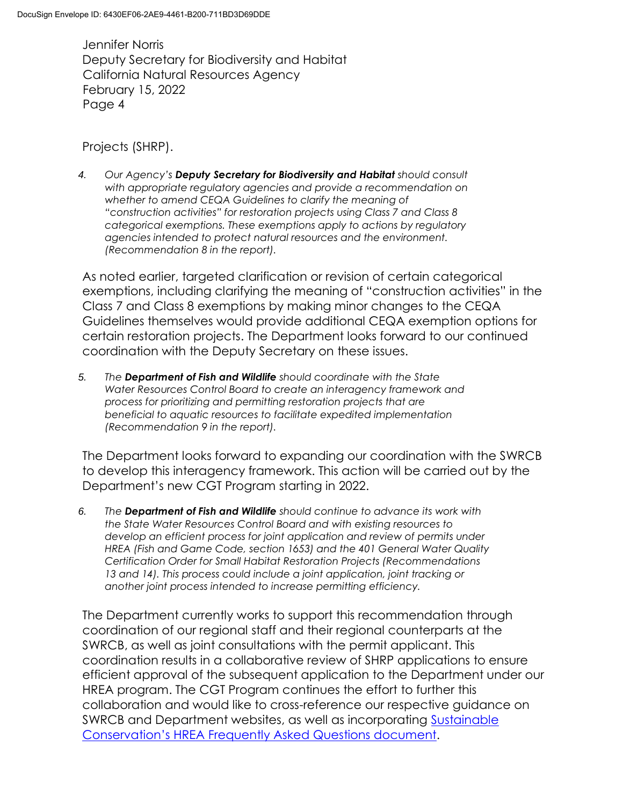Projects (SHRP).

*4. Our Agency's Deputy Secretary for Biodiversity and Habitat should consult with appropriate regulatory agencies and provide a recommendation on whether to amend CEQA Guidelines to clarify the meaning of "construction activities" for restoration projects using Class 7 and Class 8 categorical exemptions. These exemptions apply to actions by regulatory agencies intended to protect natural resources and the environment. (Recommendation 8 in the report).*

As noted earlier, targeted clarification or revision of certain categorical exemptions, including clarifying the meaning of "construction activities" in the Class 7 and Class 8 exemptions by making minor changes to the CEQA Guidelines themselves would provide additional CEQA exemption options for certain restoration projects. The Department looks forward to our continued coordination with the Deputy Secretary on these issues.

*5. The Department of Fish and Wildlife should coordinate with the State Water Resources Control Board to create an interagency framework and process for prioritizing and permitting restoration projects that are beneficial to aquatic resources to facilitate expedited implementation (Recommendation 9 in the report).*

The Department looks forward to expanding our coordination with the SWRCB to develop this interagency framework. This action will be carried out by the Department's new CGT Program starting in 2022.

*6. The Department of Fish and Wildlife should continue to advance its work with the State Water Resources Control Board and with existing resources to develop an efficient process for joint application and review of permits under HREA (Fish and Game Code, section 1653) and the 401 General Water Quality Certification Order for Small Habitat Restoration Projects (Recommendations*  13 and 14). This process could include a joint application, joint tracking or *another joint process intended to increase permitting efficiency.*

The Department currently works to support this recommendation through coordination of our regional staff and their regional counterparts at the SWRCB, as well as joint consultations with the permit applicant. This coordination results in a collaborative review of SHRP applications to ensure efficient approval of the subsequent application to the Department under our HREA program. The CGT Program continues the effort to further this collaboration and would like to cross-reference our respective guidance on SWRCB and Department websites, as well as incorporating Sustainable [Conservation's HREA Frequently Asked Questions document](https://suscon.org/wp-content/uploads/2021/03/HREA-Application-Guidance-FAQs-3-31-2021.pdf).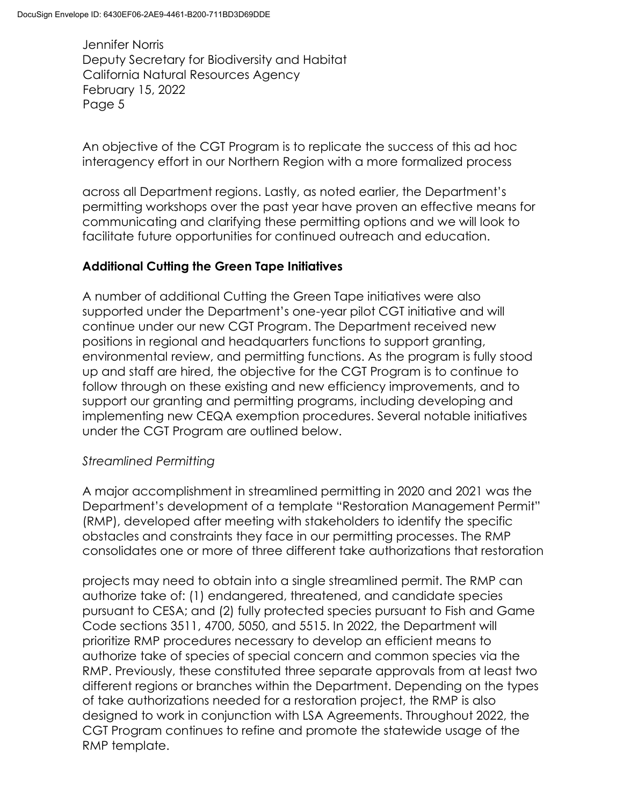An objective of the CGT Program is to replicate the success of this ad hoc interagency effort in our Northern Region with a more formalized process

across all Department regions. Lastly, as noted earlier, the Department's permitting workshops over the past year have proven an effective means for communicating and clarifying these permitting options and we will look to facilitate future opportunities for continued outreach and education.

# **Additional Cutting the Green Tape Initiatives**

A number of additional Cutting the Green Tape initiatives were also supported under the Department's one-year pilot CGT initiative and will continue under our new CGT Program. The Department received new positions in regional and headquarters functions to support granting, environmental review, and permitting functions. As the program is fully stood up and staff are hired, the objective for the CGT Program is to continue to follow through on these existing and new efficiency improvements, and to support our granting and permitting programs, including developing and implementing new CEQA exemption procedures. Several notable initiatives under the CGT Program are outlined below.

## *Streamlined Permitting*

A major accomplishment in streamlined permitting in 2020 and 2021 was the Department's development of a template "Restoration Management Permit" (RMP), developed after meeting with stakeholders to identify the specific obstacles and constraints they face in our permitting processes. The RMP consolidates one or more of three different take authorizations that restoration

projects may need to obtain into a single streamlined permit. The RMP can authorize take of: (1) endangered, threatened, and candidate species pursuant to CESA; and (2) fully protected species pursuant to Fish and Game Code sections 3511, 4700, 5050, and 5515. In 2022, the Department will prioritize RMP procedures necessary to develop an efficient means to authorize take of species of special concern and common species via the RMP. Previously, these constituted three separate approvals from at least two different regions or branches within the Department. Depending on the types of take authorizations needed for a restoration project, the RMP is also designed to work in conjunction with LSA Agreements. Throughout 2022, the CGT Program continues to refine and promote the statewide usage of the RMP template.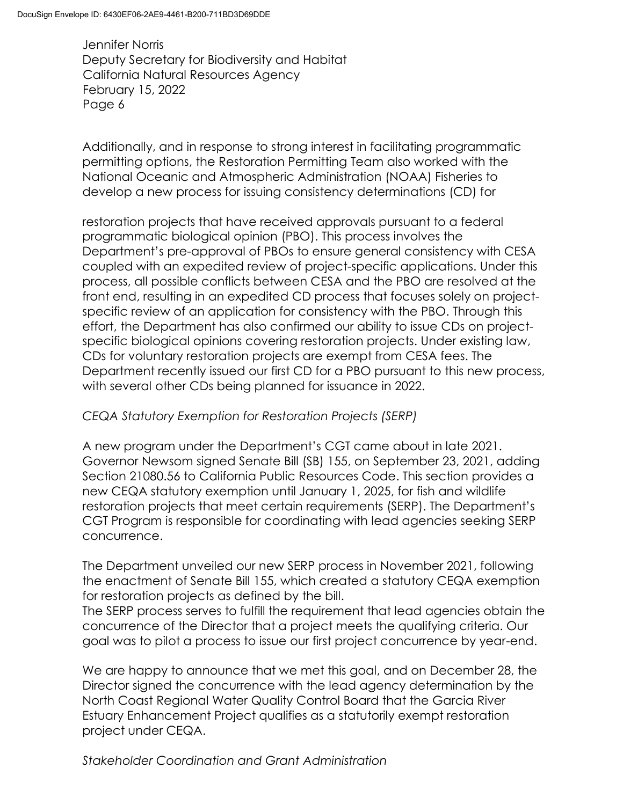Additionally, and in response to strong interest in facilitating programmatic permitting options, the Restoration Permitting Team also worked with the National Oceanic and Atmospheric Administration (NOAA) Fisheries to develop a new process for issuing consistency determinations (CD) for

restoration projects that have received approvals pursuant to a federal programmatic biological opinion (PBO). This process involves the Department's pre-approval of PBOs to ensure general consistency with CESA coupled with an expedited review of project-specific applications. Under this process, all possible conflicts between CESA and the PBO are resolved at the front end, resulting in an expedited CD process that focuses solely on projectspecific review of an application for consistency with the PBO. Through this effort, the Department has also confirmed our ability to issue CDs on projectspecific biological opinions covering restoration projects. Under existing law, CDs for voluntary restoration projects are exempt from CESA fees. The Department recently issued our first CD for a PBO pursuant to this new process, with several other CDs being planned for issuance in 2022.

## *CEQA Statutory Exemption for Restoration Projects (SERP)*

A new program under the Department's CGT came about in late 2021. Governor Newsom signed Senate Bill (SB) 155, on September 23, 2021, adding Section 21080.56 to California Public Resources Code. This section provides a new CEQA statutory exemption until January 1, 2025, for fish and wildlife restoration projects that meet certain requirements (SERP). The Department's CGT Program is responsible for coordinating with lead agencies seeking SERP concurrence.

The Department unveiled our new SERP process in November 2021, following the enactment of Senate Bill 155, which created a statutory CEQA exemption for restoration projects as defined by the bill.

The SERP process serves to fulfill the requirement that lead agencies obtain the concurrence of the Director that a project meets the qualifying criteria. Our goal was to pilot a process to issue our first project concurrence by year-end.

We are happy to announce that we met this goal, and on December 28, the Director signed the concurrence with the lead agency determination by the North Coast Regional Water Quality Control Board that the Garcia River Estuary Enhancement Project qualifies as a statutorily exempt restoration project under CEQA.

*Stakeholder Coordination and Grant Administration*